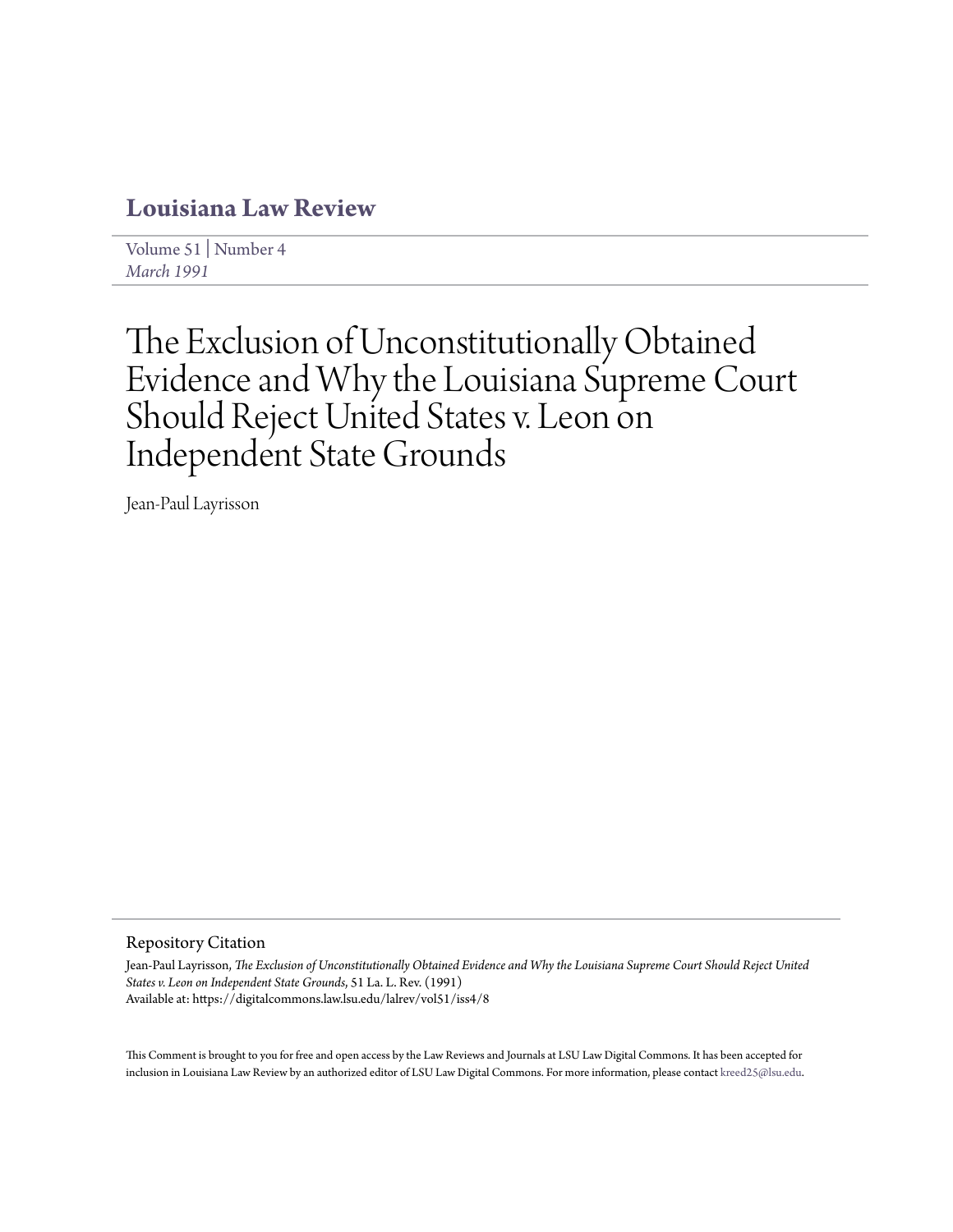# **[Louisiana Law Review](https://digitalcommons.law.lsu.edu/lalrev)**

[Volume 51](https://digitalcommons.law.lsu.edu/lalrev/vol51) | [Number 4](https://digitalcommons.law.lsu.edu/lalrev/vol51/iss4) *[March 1991](https://digitalcommons.law.lsu.edu/lalrev/vol51/iss4)*

# The Exclusion of Unconstitutionally Obtained Evidence and Why the Louisiana Supreme Court Should Reject United States v. Leon on Independent State Grounds

Jean-Paul Layrisson

### Repository Citation

Jean-Paul Layrisson, *The Exclusion of Unconstitutionally Obtained Evidence and Why the Louisiana Supreme Court Should Reject United States v. Leon on Independent State Grounds*, 51 La. L. Rev. (1991) Available at: https://digitalcommons.law.lsu.edu/lalrev/vol51/iss4/8

This Comment is brought to you for free and open access by the Law Reviews and Journals at LSU Law Digital Commons. It has been accepted for inclusion in Louisiana Law Review by an authorized editor of LSU Law Digital Commons. For more information, please contact [kreed25@lsu.edu](mailto:kreed25@lsu.edu).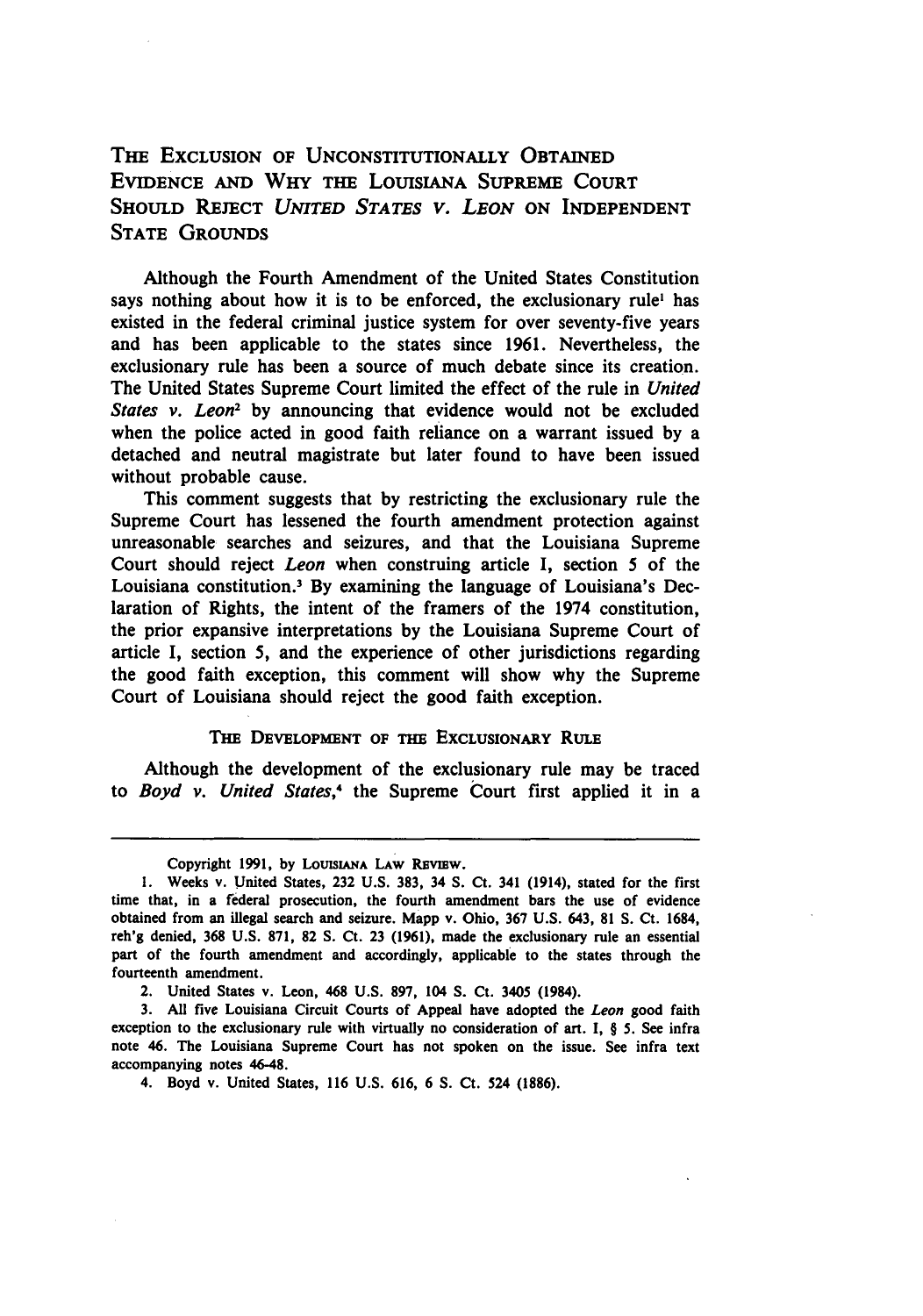## THE EXCLUSION OF **UNCONSTITUTIONALLY OBTAINED** EVIDENCE **AND** WHY THE LOUISIANA SUPREME **COURT SHOULD** REJECT *UNITED STATES V. LEON* **ON INDEPENDENT STATE GROUNDS**

Although the Fourth Amendment of the United States Constitution says nothing about how it is to be enforced, the exclusionary rule' has existed in the federal criminal justice system for over seventy-five years and has been applicable to the states since 1961. Nevertheless, the exclusionary rule has been a source of much debate since its creation. The United States Supreme Court limited the effect of the rule in *United States v. Leon2* by announcing that evidence would not be excluded when the police acted in good faith reliance on a warrant issued by a detached and neutral magistrate but later found to have been issued without probable cause.

This comment suggests that by restricting the exclusionary rule the Supreme Court has lessened the fourth amendment protection against unreasonable searches and seizures, and that the Louisiana Supreme Court should reject *Leon* when construing article I, section **5** of the Louisiana constitution.3 By examining the language of Louisiana's Declaration of Rights, the intent of the framers of the 1974 constitution, the prior expansive interpretations by the Louisiana Supreme Court of article I, section **5,** and the experience of other jurisdictions regarding the good faith exception, this comment will show why the Supreme Court of Louisiana should reject the good faith exception.

#### **THE DEVELOPMENT OF THE EXCLUSIONARY RULE**

Although the development of the exclusionary rule may be traced to *Boyd v. United States,4* the Supreme Court first applied it in a

Copyright 1991, by LOUISIANA LAW REVIEW.

**<sup>1.</sup>** Weeks v. United States, **232 U.S. 383,** 34 **S.** Ct. 341 (1914), stated for the first time that, in a federal prosecution, the fourth amendment bars the use of evidence obtained from an illegal search and seizure. Mapp v. Ohio, **367 U.S.** 643, **81 S.** Ct. 1684, reh'g denied, **368 U.S. 871, 82 S.** Ct. **23 (1961),** made the exclusionary rule an essential part of the fourth amendment and accordingly, applicable to the states through the fourteenth amendment.

<sup>2.</sup> United States v. Leon, 468 **U.S. 897,** 104 **S.** Ct. 3405 (1984).

**<sup>3.</sup> All** five Louisiana Circuit Courts of Appeal have adopted the Leon good faith exception to the exclusionary rule with virtually no consideration of art. I, § **5.** See infra note 46. The Louisiana Supreme Court has not spoken on the issue. See infra text accompanying notes 46-48.

<sup>4.</sup> Boyd v. United States, **116 U.S. 616, 6 S.** Ct. 524 **(1886).**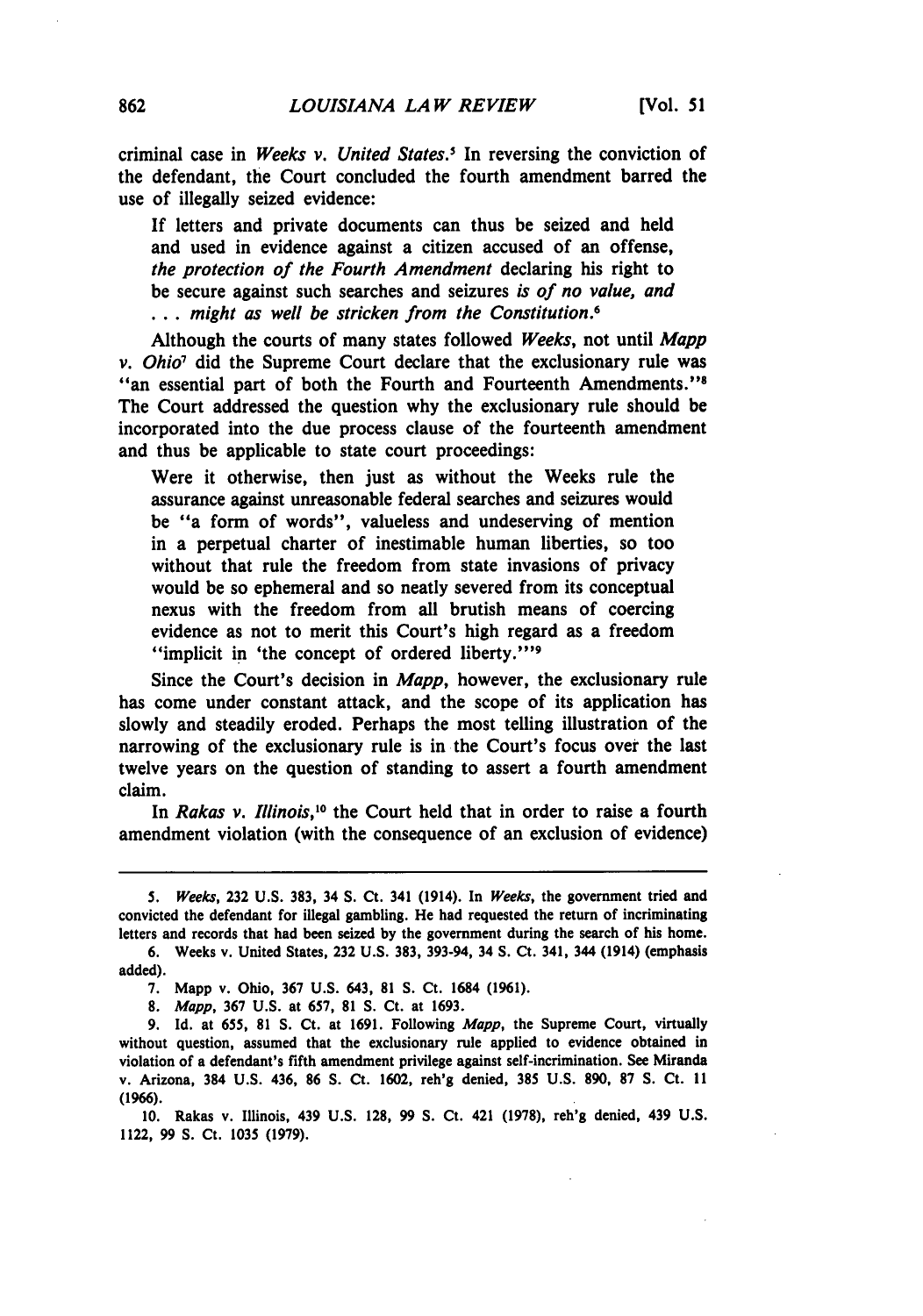criminal case in *Weeks v. United States.'* In reversing the conviction of the defendant, the Court concluded the fourth amendment barred the use of illegally seized evidence:

If letters and private documents can thus be seized and held and used in evidence against a citizen accused of an offense, *the protection of the Fourth Amendment* declaring his right to be secure against such searches and seizures *is of no value, and* **...** *might as well be stricken from the Constitution.6*

Although the courts of many states followed *Weeks,* not until *Mapp v. Ohio7* did the Supreme Court declare that the exclusionary rule was "an essential part of both the Fourth and Fourteenth Amendments." The Court addressed the question why the exclusionary rule should be incorporated into the due process clause of the fourteenth amendment and thus be applicable to state court proceedings:

Were it otherwise, then just as without the Weeks rule the assurance against unreasonable federal searches and seizures would be "a form of words", valueless and undeserving of mention in a perpetual charter of inestimable human liberties, so too without that rule the freedom from state invasions of privacy would be so ephemeral and so neatly severed from its conceptual nexus with the freedom from all brutish means of coercing evidence as not to merit this Court's high regard as a freedom "implicit in 'the concept of ordered liberty."<sup>19</sup>

Since the Court's decision in *Mapp,* however, the exclusionary rule has come under constant attack, and the scope of its application has slowly and steadily eroded. Perhaps the most telling illustration of the narrowing of the exclusionary rule is in the Court's focus over the last twelve years on the question of standing to assert a fourth amendment claim.

In *Rakas v. Illinois*,<sup>10</sup> the Court held that in order to raise a fourth amendment violation (with the consequence of an exclusion of evidence)

*<sup>5.</sup> Weeks,* **232 U.S. 383,** 34 **S.** Ct. 341 (1914). In *Weeks,* the government tried and convicted the defendant for illegal gambling. He had requested the return of incriminating letters and records that had been seized **by** the government during the search of his home.

**<sup>6.</sup>** Weeks v. United States, **232 U.S. 383,** 393-94, 34 **S.** Ct. 341, 344 (1914) (emphasis added).

**<sup>7.</sup>** Mapp v. Ohio, **367 U.S.** 643, **81 S.** Ct. 1684 **(1961).**

**<sup>8.</sup>** *Mapp,* **367 U.S.** at **657, 81 S.** Ct. at **1693.**

**<sup>9.</sup> Id.** at **655, 81 S.** Ct. at **1691.** Following *Mapp,* the Supreme Court, virtually without question, assumed that the exclusionary rule applied to evidence obtained in violation of a defendant's fifth amendment privilege against self-incrimination. See Miranda v. Arizona, 384 **U.S.** 436, **86 S.** Ct. **1602,** reh'g denied, **385 U.S. 890, 87 S.** Ct. **11 (1966).**

**<sup>10.</sup>** Rakas v. Illinois, 439 **U.S. 128, 99 S.** Ct. 421 **(1978),** reh'g denied, 439 **U.S.** 1122, **99 S.** Ct. **1035 (1979).**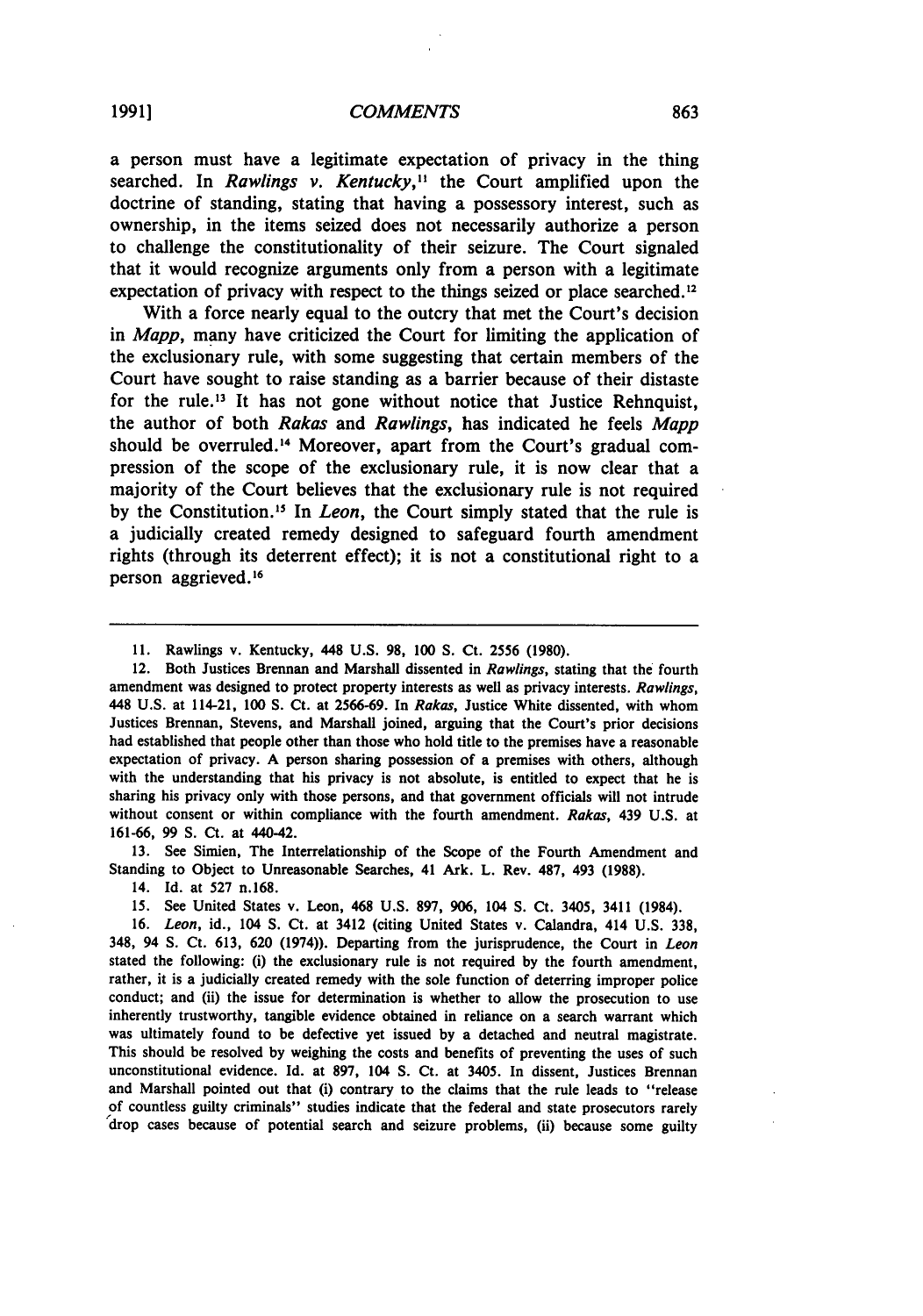a person must have a legitimate expectation of privacy in the thing searched. In *Rawlings v. Kentucky,"* the Court amplified upon the doctrine of standing, stating that having a possessory interest, such as ownership, in the items seized does not necessarily authorize a person to challenge the constitutionality of their seizure. The Court signaled that it would recognize arguments only from a person with a legitimate expectation of privacy with respect to the things seized or place searched.<sup>12</sup>

With a force nearly equal to the outcry that met the Court's decision in *Mapp,* many have criticized the Court for limiting the application of the exclusionary rule, with some suggesting that certain members of the Court have sought to raise standing as a barrier because of their distaste for the rule.<sup>13</sup> It has not gone without notice that Justice Rehnquist, the author of both *Rakas* and *Rawlings,* has indicated he feels *Mapp* should be overruled.<sup>14</sup> Moreover, apart from the Court's gradual compression of the scope of the exclusionary rule, it is now clear that a majority of the Court believes that the exclusionary rule is not required by the Constitution." In *Leon,* the Court simply stated that the rule is a judicially created remedy designed to safeguard fourth amendment rights (through its deterrent effect); it is not a constitutional right to a person aggrieved.<sup>16</sup>

12. Both Justices Brennan and Marshall dissented in *Rawlings,* stating that the fourth amendment was designed to protect property interests as well as privacy interests. *Rawlings,* 448 **U.S.** at 114-21, **100 S.** Ct. at **2566-69.** In *Rakas,* Justice White dissented, with whom Justices Brennan, Stevens, and Marshall joined, arguing that the Court's prior decisions had established that people other than those who hold title to the premises have a reasonable expectation of privacy. **A** person sharing possession of a premises with others, although with the understanding that his privacy is not absolute, is entitled to expect that he is sharing his privacy only with those persons, and that government officials will not intrude without consent or within compliance with the fourth amendment. *Rakas,* 439 **U.S.** at **161-66, 99 S.** Ct. at 440-42.

**13.** See Simien, The Interrelationship of the Scope of the Fourth Amendment and Standing to Object to Unreasonable Searches, 41 Ark. L. Rev. **487,** 493 **(1988).**

14. **Id.** at **527** n.168.

**15.** See United States v. Leon, 468 **U.S. 897, 906,** 104 **S.** Ct. 3405, 3411 (1984).

**16.** *Leon,* id., 104 **S.** Ct. at 3412 (citing United States v. Calandra, 414 **U.S. 338,** 348, 94 **S.** Ct. **613, 620** (1974)). Departing from the jurisprudence, the Court in *Leon* stated the following: (i) the exclusionary rule is not required **by** the fourth amendment, rather, it is a judicially created remedy with the sole function of deterring improper police conduct; and (ii) the issue for determination is whether to allow the prosecution to use inherently trustworthy, tangible evidence obtained in reliance on a search warrant which was ultimately found to be defective yet issued **by** a detached and neutral magistrate. This should be resolved **by** weighing the costs and benefits of preventing the uses of such unconstitutional evidence. **Id.** at **897,** 104 **S.** Ct. at 3405. In dissent, Justices Brennan and Marshall pointed out that (i) contrary to the claims that the rule leads to "release of countless guilty criminals" studies indicate that the federal and state prosecutors rarely 'drop cases because of potential search and seizure problems, (ii) because some guilty

**<sup>11.</sup>** Rawlings v. Kentucky, 448 **U.S. 98, 100 S.** Ct. **2556 (1980).**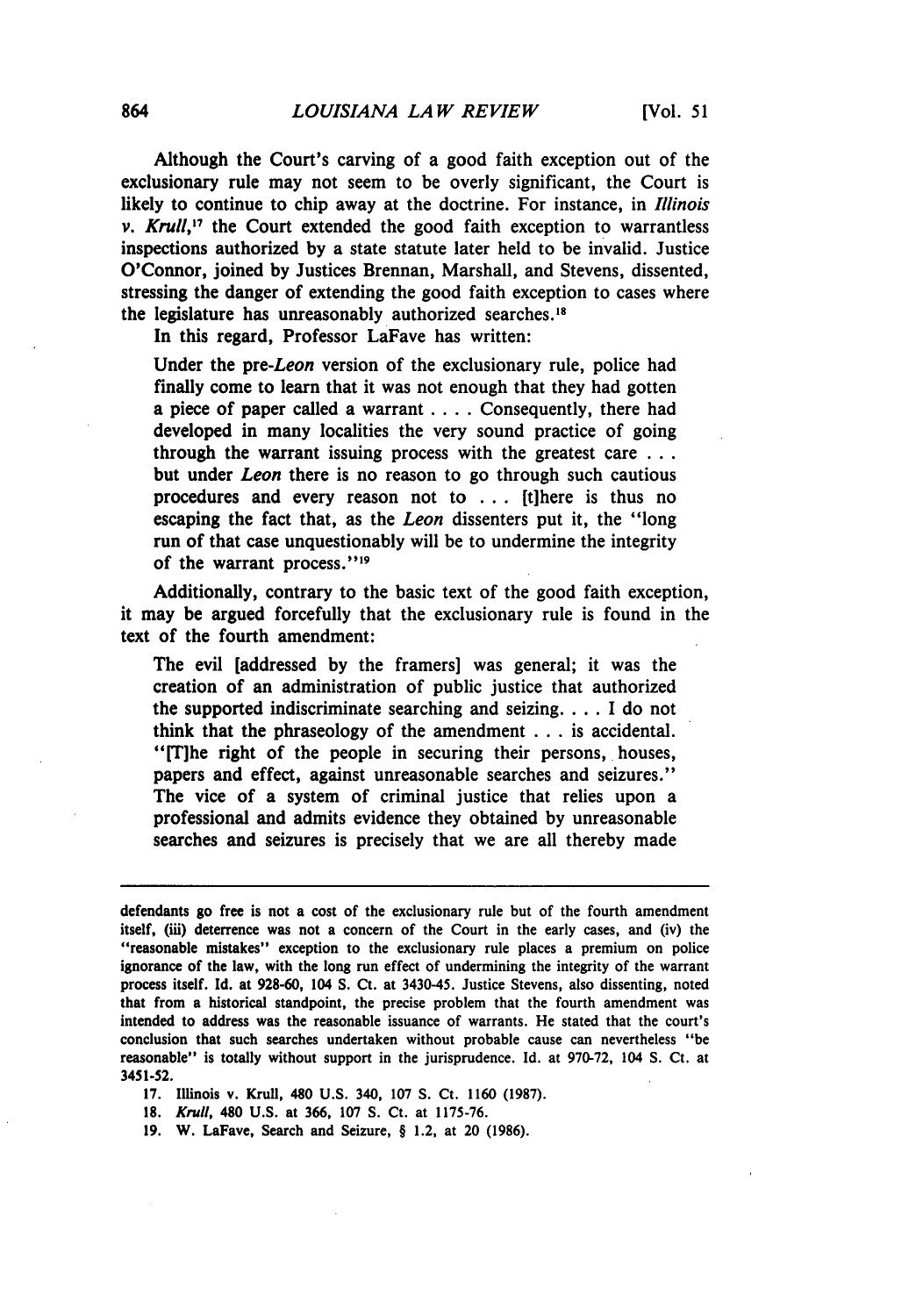Although the Court's carving of a good faith exception out of the exclusionary rule may not seem to be overly significant, the Court is likely to continue to chip away at the doctrine. For instance, in *Illinois v. Krull*,<sup>17</sup> the Court extended the good faith exception to warrantless inspections authorized **by** a state statute later held to be invalid. Justice O'Connor, joined **by** Justices Brennan, Marshall, and Stevens, dissented, stressing the danger of extending the good faith exception to cases where the legislature has unreasonably authorized searches."

In this regard, Professor LaFave has written:

Under the *pre-Leon* version of the exclusionary rule, police had finally come to learn that it was not enough that they had gotten a piece of paper called a warrant .... Consequently, there had developed in many localities the very sound practice of going through the warrant issuing process with the greatest care **...** but under *Leon* there is no reason to go through such cautious procedures and every reason not to **...** [t]here is thus no escaping the fact that, as the *Leon* dissenters put it, the "long run of that case unquestionably will be to undermine the integrity of the warrant process."<sup>19</sup>

Additionally, contrary to the basic text of the good faith exception, it may be argued forcefully that the exclusionary rule is found in the text of the fourth amendment:

The evil [addressed **by** the framers] was general; it was the creation of an administration of public justice that authorized the supported indiscriminate searching and seizing **....** I do not think that the phraseology of the amendment **...** is accidental. "[T]he right of the people in securing their persons, houses, papers and effect, against unreasonable searches and seizures." The vice of a system of criminal justice that relies upon a professional and admits evidence they obtained **by** unreasonable searches and seizures is precisely that we are all thereby made

**17.** Illinois v. Krull, 480 **U.S.** 340, **107 S.** Ct. **1160 (1987).**

**18.** *Krull,* 480 **U.S.** at 366, **107 S.** Ct. at **1175-76.**

**19.** W. LaFave, Search and Seizure, § 1.2, at 20 **(1986).**

defendants go free is not a cost of the exclusionary rule but of the fourth amendment itself, (iii) deterrence was not a concern of the Court in the early cases, and (iv) the "reasonable mistakes" exception to the exclusionary rule places a premium on police ignorance of the law, with the long run effect of undermining the integrity of the warrant process itself. **Id.** at **928-60,** 104 **S.** Ct. at 3430-45. Justice Stevens, also dissenting, noted that from a historical standpoint, the precise problem that the fourth amendment was intended to address was the reasonable issuance of warrants. He stated that the court's conclusion that such searches undertaken without probable cause can nevertheless "be reasonable" is totally without support in the jurisprudence. **Id.** at **970-72,** 104 **S.** Ct. at **3451-52.**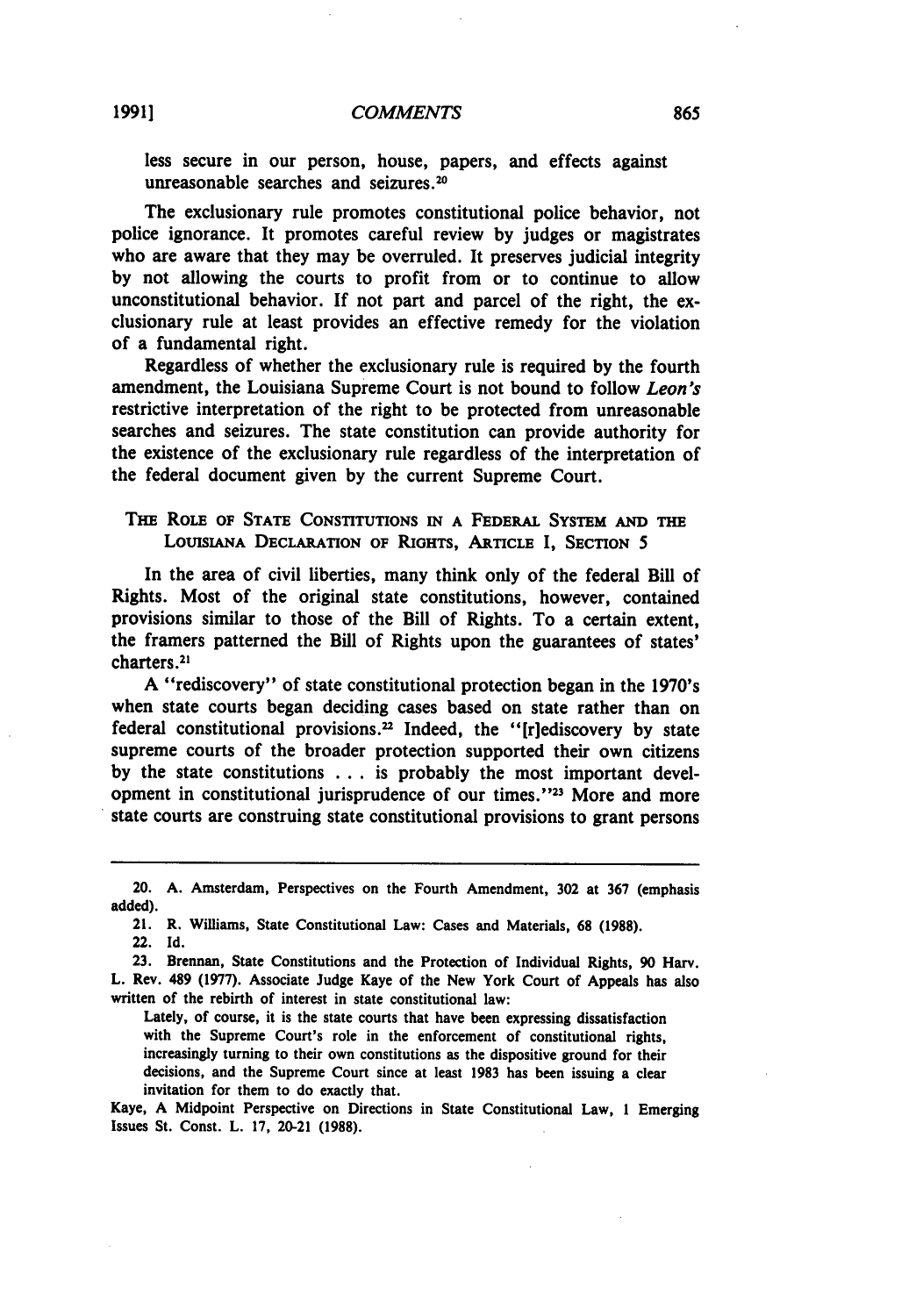less secure in our person, house, papers, and effects against unreasonable searches and seizures.<sup>20</sup>

The exclusionary rule promotes constitutional police behavior, not police ignorance. It promotes careful review **by** judges or magistrates who are aware that they may be overruled. It preserves judicial integrity **by** not allowing the courts to profit from or to continue to allow unconstitutional behavior. **If** not part and parcel of the right, the exclusionary rule at least provides an effective remedy for the violation of a fundamental right.

Regardless of whether the exclusionary rule is required **by** the fourth amendment, the Louisiana Supreme Court is not bound to follow *Leon's* restrictive interpretation of the right to be protected from unreasonable searches and seizures. The state constitution can provide authority for the existence of the exclusionary rule regardless of the interpretation of the federal document given **by** the current Supreme Court.

#### THE RoLE **oF STATE CONSTITUTIONS IN A FEDERAL SYSTEM AND THE LOUISIANA DECLARATION OF RIGHTS, ARTICLE** I, **SECTION** *5*

**In the** area of civil liberties, many think only of the federal Bill of Rights. Most of the original state constitutions, however, contained provisions similar to those of the Bill of Rights. To a certain extent, the framers patterned the Bill of Rights upon the guarantees of states' charters. 21

**A** "rediscovery" of state constitutional protection began in the 1970's when state courts began deciding cases based on state rather than on federal constitutional provisions.2 Indeed, the "[riediscovery **by** state supreme courts of the broader protection supported their own citizens **by** the state constitutions **...** is probably the most important development in constitutional jurisprudence of our times."<sup>23</sup> More and more state courts are construing state constitutional provisions to grant persons

21. R. Williams, State Constitutional Law: Cases and Materials, **68 (1988).**

Lately, of course, it is the state courts that have been expressing dissatisfaction with the Supreme Court's role in the enforcement of constitutional rights, increasingly turning to their own constitutions as the dispositive ground for their decisions, and the Supreme Court since at least **1983** has been issuing a clear invitation for them to do exactly that.

Kaye, **A** Midpoint Perspective on Directions in State Constitutional Law, **1** Emerging Issues St. Const. L. **17,** 20-21 **(1988).**

<sup>20.</sup> **A.** Amsterdam, Perspectives on the Fourth Amendment, **302** at **367** (emphasis added).

<sup>22.</sup> **Id.**

**<sup>23.</sup>** Brennan, State Constitutions and the Protection of Individual Rights, **90** Harv. L. Rev. 489 **(1977).** Associate Judge Kaye of the New York Court of Appeals has also written of the rebirth of interest in state constitutional law: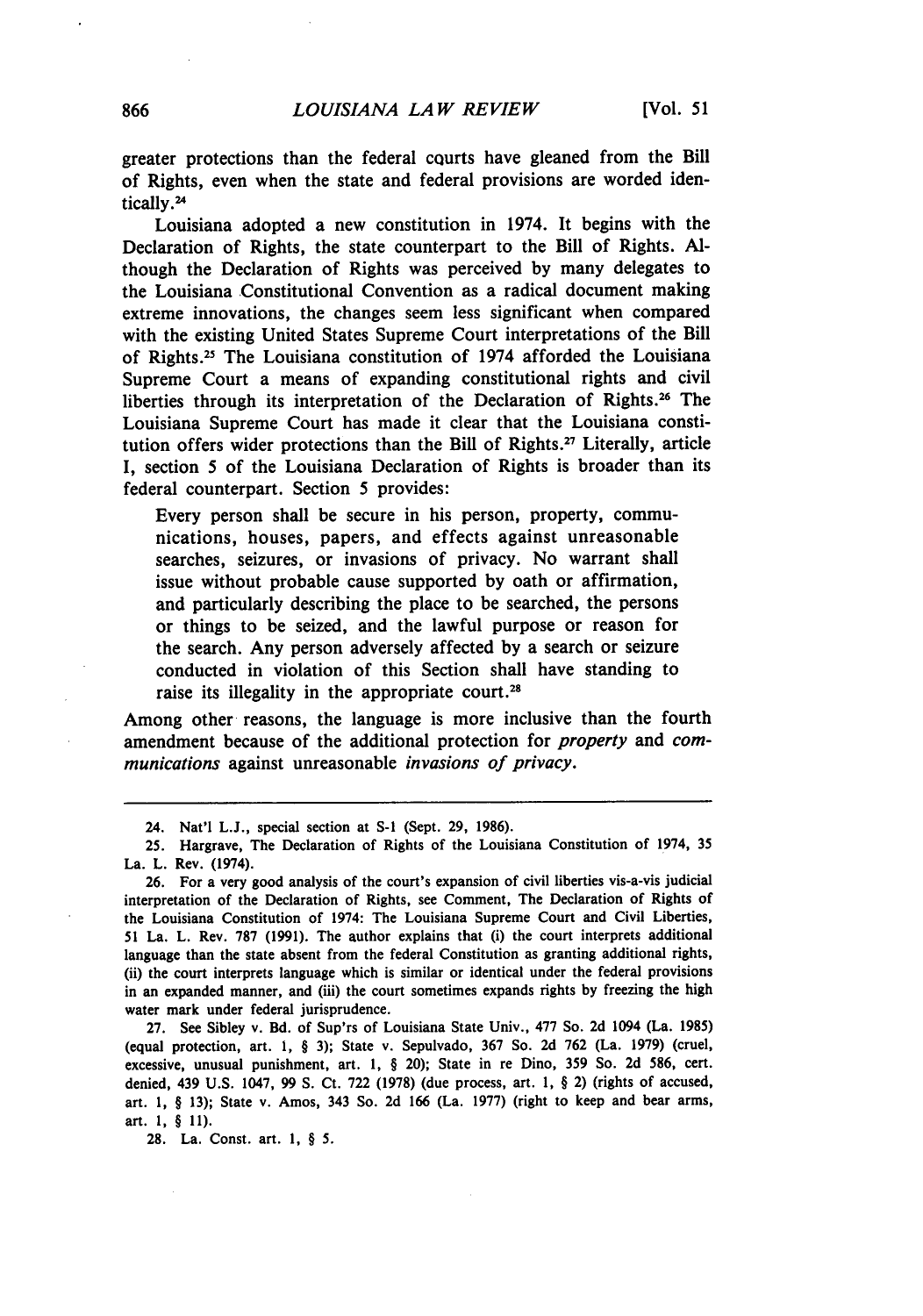greater protections than the federal courts have gleaned from the Bill of Rights, even when the state and federal provisions are worded identically.24

Louisiana adopted a new constitution in 1974. It begins with the Declaration of Rights, the state counterpart to the Bill of Rights. **Al**though the Declaration of Rights was perceived by many delegates to the Louisiana Constitutional Convention as a radical document making extreme innovations, the changes seem less significant when compared with the existing United States Supreme Court interpretations of the Bill of Rights.<sup>25</sup> The Louisiana constitution of 1974 afforded the Louisiana Supreme Court a means of expanding constitutional rights and civil liberties through its interpretation of the Declaration of Rights.26 The Louisiana Supreme Court has made it clear that the Louisiana constitution offers wider protections than the Bill of Rights.<sup>27</sup> Literally, article I, section 5 of the Louisiana Declaration of Rights is broader than its federal counterpart. Section 5 provides:

Every person shall be secure in his person, property, communications, houses, papers, and effects against unreasonable searches, seizures, or invasions of privacy. No warrant shall issue without probable cause supported by oath or affirmation, and particularly describing the place to be searched, the persons or things to be seized, and the lawful purpose or reason for the search. Any person adversely affected **by** a search or seizure conducted in violation of this Section shall have standing to raise its illegality in the appropriate court.<sup>28</sup>

Among other reasons, the language is more inclusive than the fourth amendment because of the additional protection for *property* and *communications* against unreasonable *invasions of privacy.*

27. See Sibley v. **Bd.** of Sup'rs of Louisiana State Univ., 477 So. 2d 1094 (La. 1985) (equal protection, art. 1, § 3); State v. Sepulvado, 367 So. 2d 762 (La. 1979) (cruel, excessive, unusual punishment, art. 1, § 20); State in re Dino, **359** So. 2d **586,** cert. denied, 439 **U.S.** 1047, 99 **S.** Ct. 722 (1978) (due process, art. 1, § 2) (rights of accused, art. 1, § 13); State v. Amos, 343 So. 2d 166 (La. 1977) (right to keep and bear arms, art. 1, § 11).

28. La. Const. art. 1, § 5.

<sup>24.</sup> Nat'l L.J., special section at **S-i** (Sept. 29, 1986).

<sup>25.</sup> Hargrave, The Declaration of Rights of the Louisiana Constitution of 1974, 35 La. L. Rev. (1974).

**<sup>26.</sup>** For a very good analysis of the court's expansion of civil liberties vis-a-vis judicial interpretation of the Declaration of Rights, see Comment, The Declaration of Rights of the Louisiana Constitution of 1974: The Louisiana Supreme Court and Civil Liberties, 51 La. L. Rev. **787** (1991). The author explains that (i) the court interprets additional language than the state absent from the federal Constitution as granting additional rights, (ii) the court interprets language which is similar or identical under the federal provisions in an expanded manner, and (iii) the court sometimes expands rights **by** freezing the high water mark under federal jurisprudence.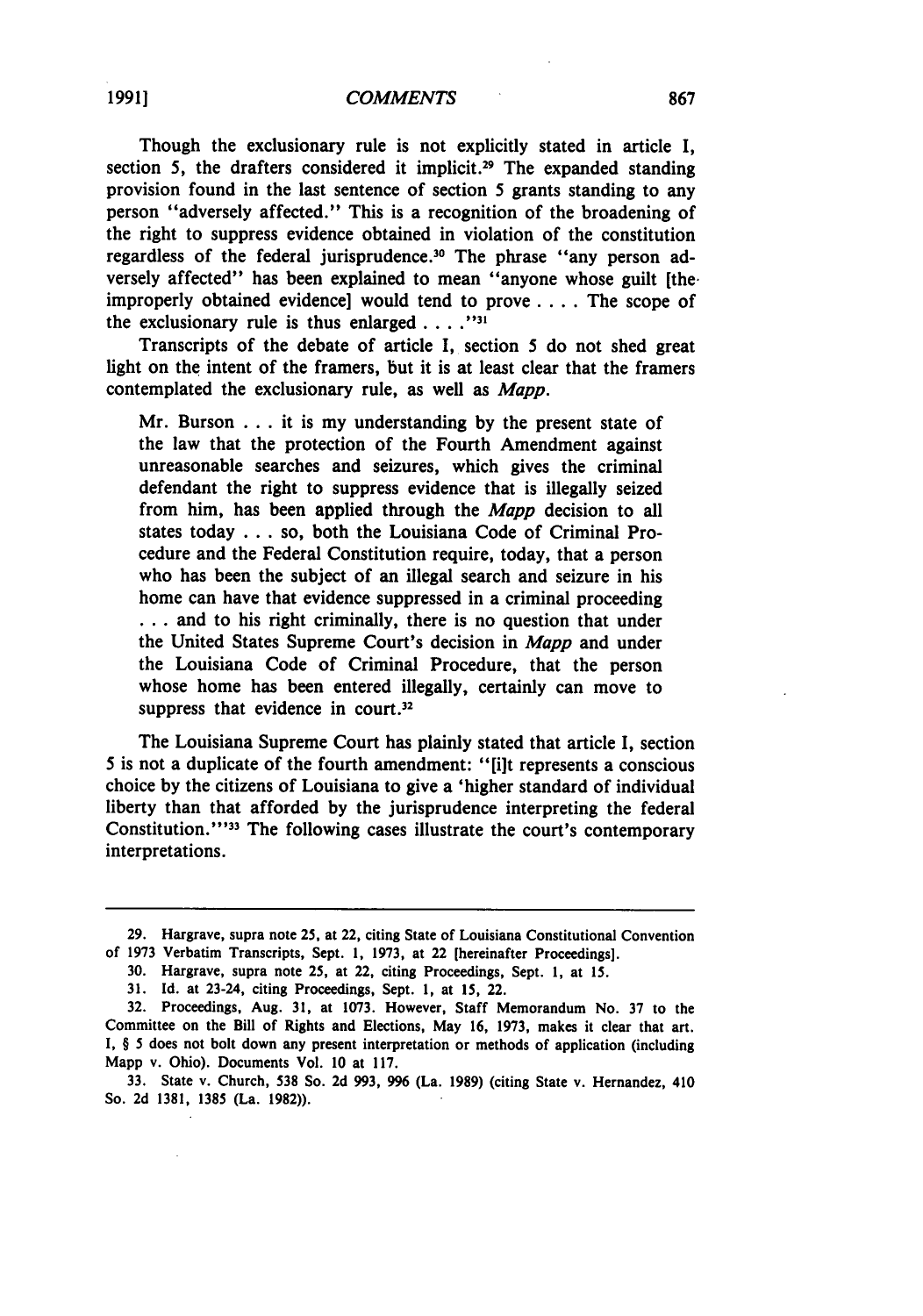Though the exclusionary rule is not explicitly stated in article **I,** section 5, the drafters considered it implicit.<sup>29</sup> The expanded standing provision found in the last sentence of section 5 grants standing to any person "adversely affected." This is a recognition of the broadening of the right to suppress evidence obtained in violation of the constitution regardless of the federal jurisprudence.30 The phrase "any person adversely affected" has been explained to mean "anyone whose guilt [theimproperly obtained evidence] would tend to prove **....** The scope of the exclusionary rule is thus enlarged . . **.**

Transcripts of the debate of article **I,** section 5 do not shed great light on the intent of the framers, but it is at least clear that the framers contemplated the exclusionary rule, as well as *Mapp.*

Mr. Burson **...** it is my understanding **by** the present state of the law that the protection of the Fourth Amendment against unreasonable searches and seizures, which gives the criminal defendant the right to suppress evidence that is illegally seized from him, has been applied through the *Mapp* decision to all states today **...** so, both the Louisiana Code of Criminal Procedure and the Federal Constitution require, today, that a person who has been the subject of an illegal search and seizure in his home can have that evidence suppressed in a criminal proceeding **...** and to his right criminally, there is no question that under the United States Supreme Court's decision in *Mapp* and under the Louisiana Code of Criminal Procedure, that the person whose home has been entered illegally, certainly can move to suppress that evidence in court. $32$ 

The Louisiana Supreme Court has plainly stated that article **I,** section 5 is not a duplicate of the fourth amendment: "[ilt represents a conscious choice **by** the citizens of Louisiana to give a 'higher standard of individual liberty than that afforded **by** the jurisprudence interpreting the federal Constitution."<sup>33</sup> The following cases illustrate the court's contemporary interpretations.

**<sup>29.</sup>** Hargrave, supra note **25,** at 22, citing State of Louisiana Constitutional Convention of **1973** Verbatim Transcripts, Sept. **1, 1973,** at 22 [hereinafter Proceedings].

**<sup>30.</sup>** Hargrave, supra note **25,** at 22, citing Proceedings, Sept. **1,** at **15.**

**<sup>31.</sup> Id.** at 23-24, citing Proceedings, Sept. **1,** at **15,** 22.

**<sup>32.</sup>** Proceedings, Aug. **31,** at **1073.** However, Staff Memorandum No. **37** to the Committee on the Bill of Rights and Elections, May **16, 1973,** makes it clear that art. I, § 5 does not bolt down any present interpretation or methods of application (including Mapp v. Ohio). Documents Vol. **10** at **117.**

**<sup>33.</sup>** State v. Church, **538** So. **2d 993, 996** (La. **1989)** (citing State v. Hernandez, 410 So. **2d 1381, 1385** (La. **1982)).**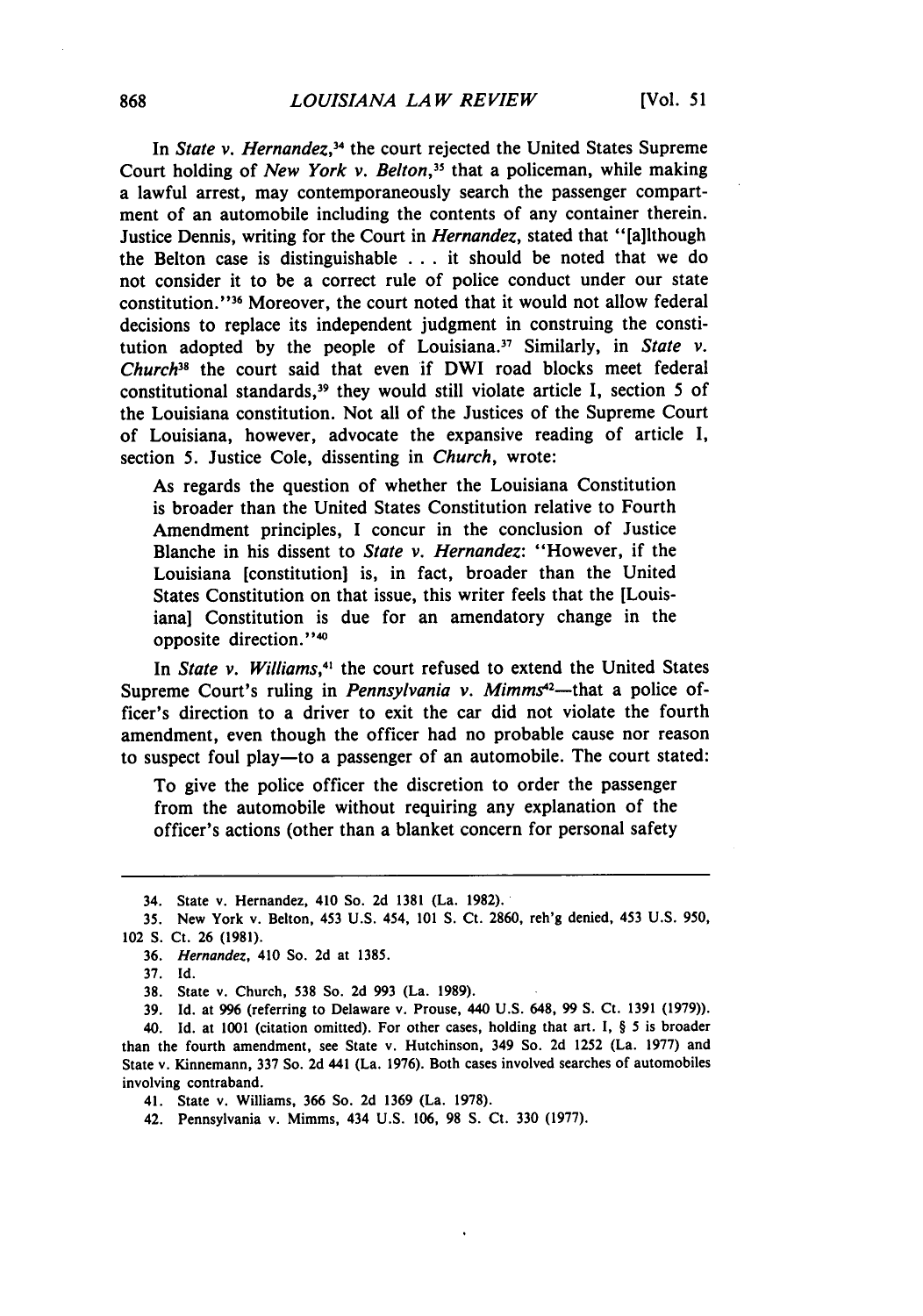In *State v. Hernandez*,<sup>34</sup> the court rejected the United States Supreme Court holding of *New York v. Belton,"* that a policeman, while making a lawful arrest, may contemporaneously search the passenger compartment of an automobile including the contents of any container therein. Justice Dennis, writing for the Court in *Hernandez,* stated that "[a]lthough the Belton case is distinguishable ... it should be noted that we do not consider it to be a correct rule of police conduct under our state constitution."<sup>36</sup> Moreover, the court noted that it would not allow federal decisions to replace its independent judgment in construing the constitution adopted by the people of Louisiana.17 Similarly, in *State v. Church"* the court said that even if DWI road blocks meet federal constitutional standards,<sup>39</sup> they would still violate article I, section 5 of the Louisiana constitution. Not all of the Justices of the Supreme Court of Louisiana, however, advocate the expansive reading of article I, section 5. Justice Cole, dissenting in *Church,* wrote:

As regards the question of whether the Louisiana Constitution is broader than the United States Constitution relative to Fourth Amendment principles, I concur in the conclusion of Justice Blanche in his dissent to *State v. Hernandez:* "However, if the Louisiana [constitution] is, in fact, broader than the United States Constitution on that issue, this writer feels that the [Louisiana] Constitution is due for an amendatory change in the opposite direction."<sup>40</sup>

In *State v. Williams*,<sup>41</sup> the court refused to extend the United States Supreme Court's ruling in *Pennsylvania v. Mimms*<sup>42</sup>—that a police officer's direction to a driver to exit the car did not violate the fourth amendment, even though the officer had no probable cause nor reason to suspect foul play-to a passenger of an automobile. The court stated:

To give the police officer the discretion to order the passenger from the automobile without requiring any explanation of the officer's actions (other than a blanket concern for personal safety

37. Id.

<sup>34.</sup> State v. Hernandez, 410 So. 2d 1381 (La. 1982).

<sup>35.</sup> New York v. Belton, 453 U.S. 454, 101 **S.** Ct. **2860,** reh'g denied, 453 U.S. 950, 102 **S.** Ct. 26 (1981).

<sup>36.</sup> *Hernandez,* 410 So. 2d at 1385.

**<sup>38.</sup>** State v. Church, **538** So. 2d 993 (La. 1989).

<sup>39.</sup> Id. at 996 (referring to Delaware v. Prouse, 440 U.S. 648, 99 **S.** Ct. 1391 (1979)).

<sup>40.</sup> Id. at 1001 (citation omitted). For other cases, holding that art. I, § 5 is broader than the fourth amendment, see State v. Hutchinson, 349 So. 2d 1252 (La. 1977) and State v. Kinnemann, 337 So. 2d 441 (La. 1976). Both cases involved searches of automobiles involving contraband.

<sup>41.</sup> State v. Williams, 366 So. 2d 1369 (La. 1978).

<sup>42.</sup> Pennsylvania v. Mimms, 434 U.S. 106, **98 S.** Ct. 330 (1977).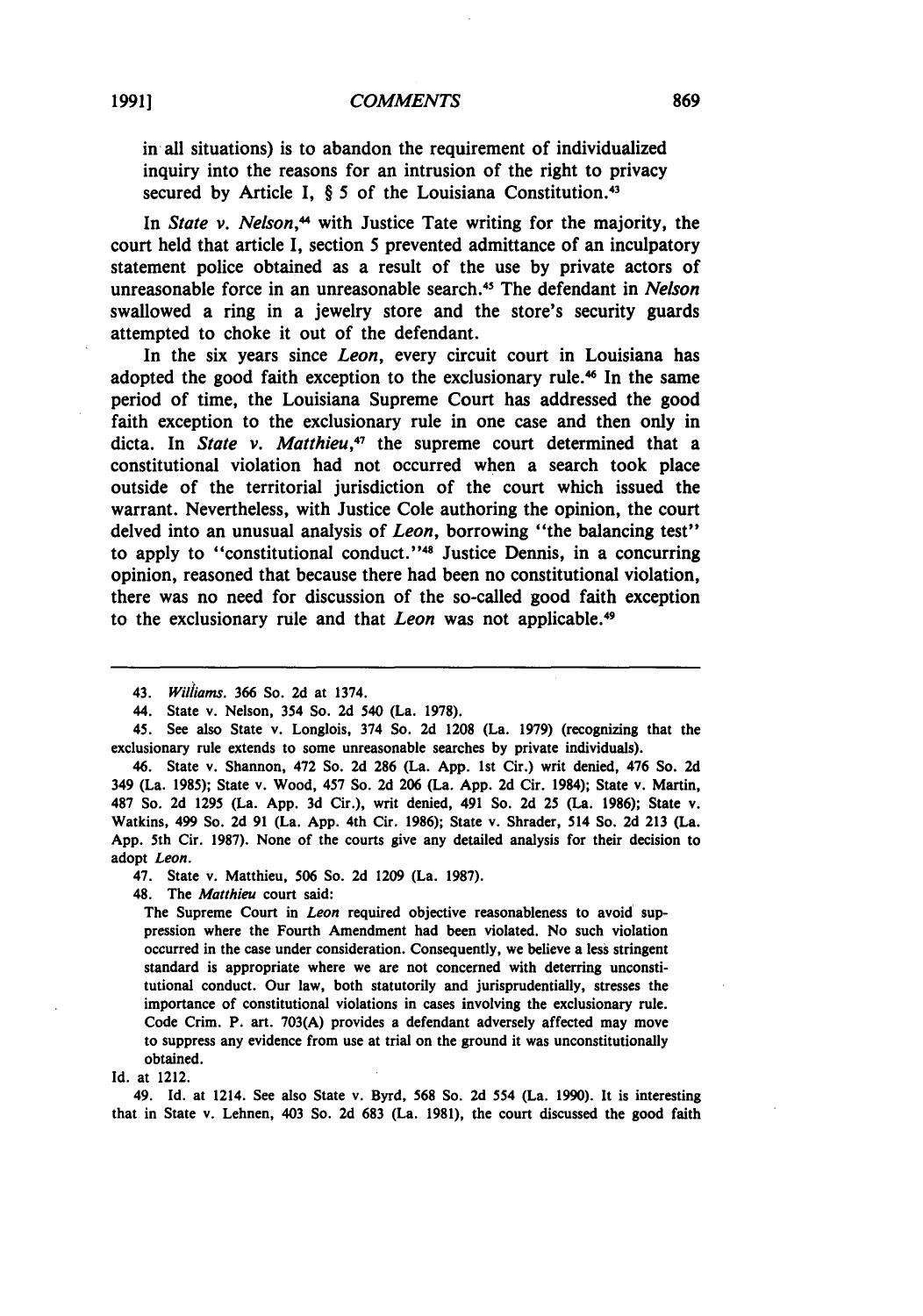in all situations) is to abandon the requirement of individualized inquiry into the reasons for an intrusion of the right to privacy secured **by** Article **I,** § 5 of the Louisiana Constitution. <sup>43</sup>

In *State v. Nelson*,<sup>44</sup> with Justice Tate writing for the majority, the court held that article **I,** section **5** prevented admittance of an inculpatory statement police obtained as a result of the use **by** private actors of unreasonable force in an unreasonable search.45 The defendant in *Nelson* swallowed a ring in a jewelry store and the store's security guards attempted to choke it out of the defendant.

In the six years since *Leon,* every circuit court in Louisiana has adopted the good faith exception to the exclusionary rule.<sup>46</sup> In the same period of time, the Louisiana Supreme Court has addressed the good faith exception to the exclusionary rule in one case and then only in dicta. In *State v. Matthieu,47* the supreme court determined that a constitutional violation had not occurred when a search took place outside of the territorial jurisdiction of the court which issued the warrant. Nevertheless, with Justice Cole authoring the opinion, the court delved into an unusual analysis of *Leon*, borrowing "the balancing test" to apply to "constitutional conduct.' **'48** Justice Dennis, in a concurring opinion, reasoned that because there had been no constitutional violation, there was no need for discussion of the so-called good faith exception to the exclusionary rule and that *Leon* was not applicable. <sup>49</sup>

46. State v. Shannon, 472 So. **2d 286** (La. **App. 1st** Cir.) writ denied, 476 So. **2d** 349 (La. **1985);** State v. Wood, 457 So. **2d 206** (La. **App. 2d** Cir. 1984); State v. Martin, **487** So. **2d 1295** (La. **App. 3d** Cir.), writ denied, 491 So. **2d 25** (La. **1986);** State v. Watkins, 499 So. **2d 91** (La. **App.** 4th Cir. **1986);** State v. Shrader, 514 So. **2d 213** (La. **App.** 5th Cir. **1987).** None of the courts give any detailed analysis for their decision to adopt Leon.

47. State v. Matthieu, **506** So. **2d 1209** (La. **1987).**

48. The Matthieu court said:

The Supreme Court in *Leon* required objective reasonableness to avoid suppression where the Fourth Amendment had been violated. No such violation occurred in the case under consideration. Consequently, we believe a less stringent standard is appropriate where we are not concerned with deterring unconstitutional conduct. Our law, both statutorily and jurisprudentially, stresses the importance of constitutional violations in cases involving the exclusionary rule. Code Crim. P. art. **703(A)** provides a defendant adversely affected may move to suppress any evidence from use at trial on the ground it was unconstitutionally obtained.

49. **Id.** at 1214. See also State v. Byrd, **568** So. **2d** 554 (La. **1990).** It is interesting that in State v. Lehnen, 403 So. **2d 683** (La. **1981),** the court discussed the good faith

<sup>43.</sup> *Williams.* 366 So. **2d** at 1374.

<sup>44.</sup> State v. Nelson, 354 So. **2d** 540 (La. **1978).**

<sup>45.</sup> See also State v. Longlois, 374 So. **2d 1208** (La. **1979)** (recognizing that the exclusionary rule extends to some unreasonable searches **by** private individuals).

**Id.** at 1212.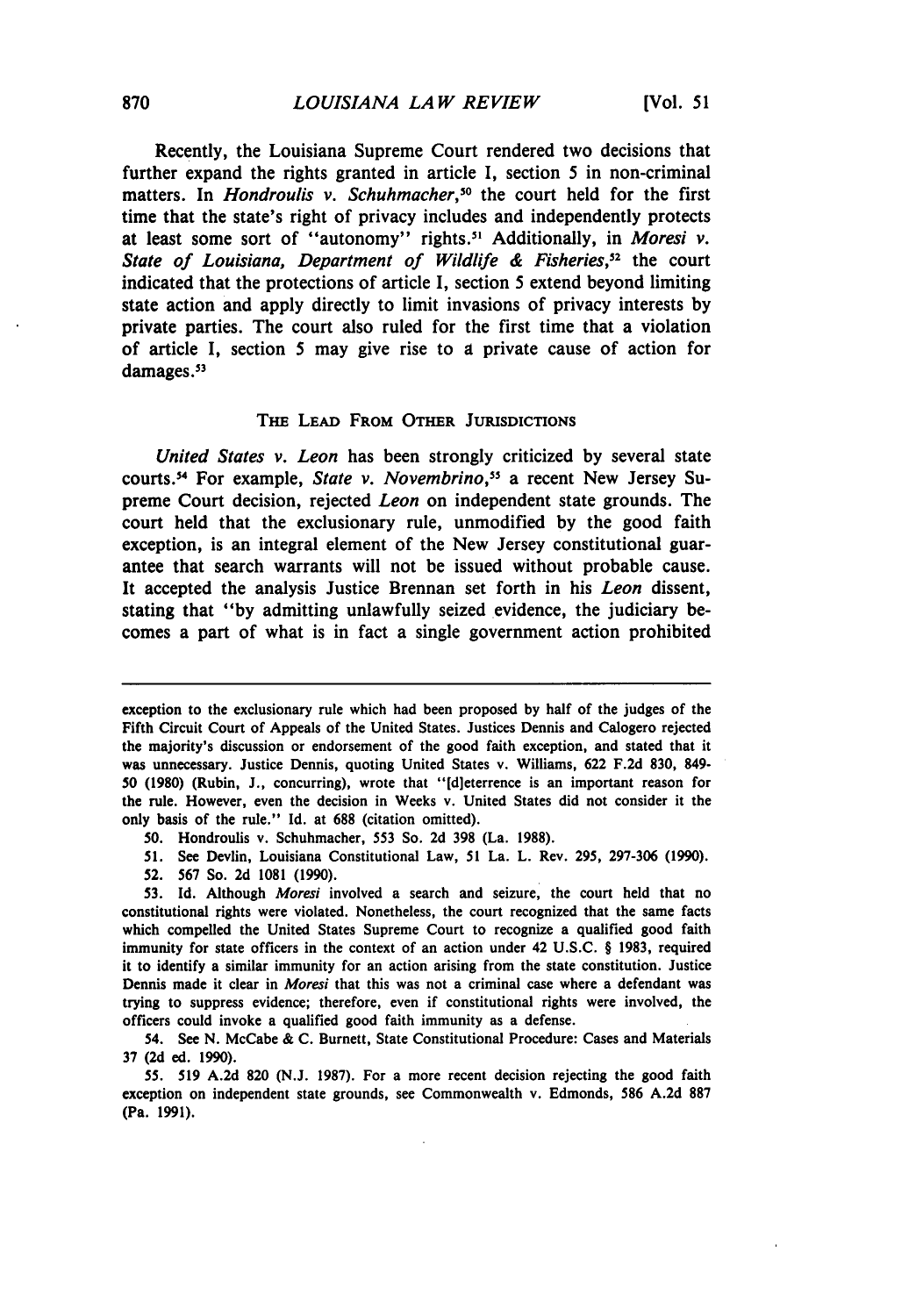Recently, the Louisiana Supreme Court rendered two decisions that further expand the rights granted in article I, section 5 in non-criminal matters. In *Hondroulis v. Schuhmacher*,<sup>50</sup> the court held for the first time that the state's right of privacy includes and independently protects at least some sort of "autonomy" rights.' Additionally, in *Moresi v. State of Louisiana, Department of Wildlife & Fisheries,52* the court indicated that the protections of article I, section 5 extend beyond limiting state action and apply directly to limit invasions of privacy interests by private parties. The court also ruled for the first time that a violation of article I, section 5 may give rise to **a** private cause of action for damages.<sup>53</sup>

#### THE LEAD FROM OTHER **JURISDICTIONS**

*United States v. Leon* has been strongly criticized **by** several state courts.54 For example, *State v. Novembrino,"* a recent New Jersey Supreme Court decision, rejected *Leon* on independent state grounds. The court held that the exclusionary rule, unmodified **by** the good faith exception, is an integral element of the New Jersey constitutional guarantee that search warrants will not be issued without probable cause. It accepted the analysis Justice Brennan set forth in his *Leon* dissent, stating that **"by** admitting unlawfully seized evidence, the judiciary becomes a part of what is in fact a single government action prohibited

- **51.** See Devlin, Louisiana Constitutional Law, **51** La. L. Rev. 295, **297-306** (1990).
- **52.** 567 So. **2d 1081** (1990).

exception to the exclusionary rule which had been proposed by half of the judges of the Fifth Circuit Court of Appeals of the United States. Justices Dennis and Calogero rejected the majority's discussion or endorsement of the good faith exception, and stated that it was unnecessary. Justice Dennis, quoting United States v. Williams, **622 F.2d 830,** 849- 50 **(1980)** (Rubin, J., concurring), wrote that "[d]eterrence is an important reason for the rule. However, even the decision in Weeks v. United States did not consider it the only basis of the rule." **Id.** at 688 (citation omitted).

**<sup>50.</sup>** Hondroulis v. Schuhmacher, **553** So. **2d 398** (La. 1988).

**<sup>53.</sup> Id.** Although *Moresi* involved a search and seizure, the court held that no constitutional rights were violated. Nonetheless, the court recognized that the same facts which compelled the United States Supreme Court to recognize a qualified good faith immunity for state officers in the context of an action under 42 U.S.C. § 1983, required it to identify a similar immunity for an action arising from the state constitution. Justice Dennis made it clear in *Moresi* that this was not a criminal case where a defendant was trying to suppress evidence; therefore, even if constitutional rights were involved, the officers could invoke a qualified good faith immunity as a defense.

<sup>54.</sup> See N. McCabe & C. Burnett, State Constitutional Procedure: Cases and Materials **37 (2d** ed. **1990).**

<sup>55.</sup> **519 A.2d 820** (N.J. **1987).** For a more recent decision rejecting the good faith exception on independent state grounds, see Commonwealth v. Edmonds, 586 **A.2d 887** (Pa. **1991).**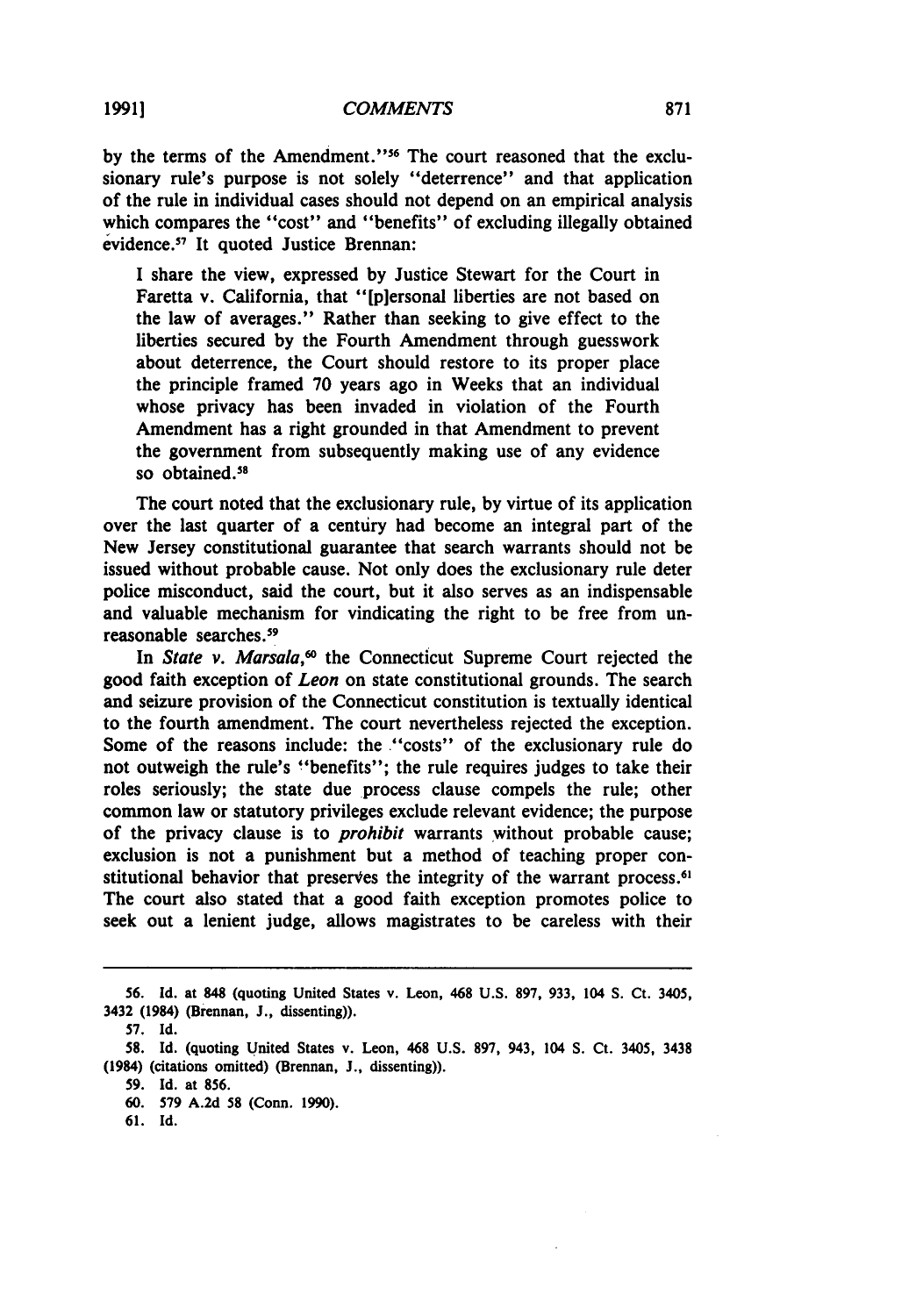by the terms of the Amendment."<sup>56</sup> The court reasoned that the exclusionary rule's purpose is not solely "deterrence" and that application of the rule in individual cases should not depend on an empirical analysis which compares the "cost" and "benefits" of excluding illegally obtained evidence.<sup>57</sup> It quoted Justice Brennan:

I share the view, expressed **by** Justice Stewart for the Court in Faretta v. California, that "[p]ersonal liberties are not based on the law of averages." Rather than seeking to give effect to the liberties secured **by** the Fourth Amendment through guesswork about deterrence, the Court should restore to its proper place the principle framed **70** years ago in Weeks that an individual whose privacy has been invaded in violation of the Fourth Amendment has a right grounded in that Amendment to prevent the government from subsequently making use of any evidence so obtained.<sup>58</sup>

The court noted that the exclusionary rule, **by** virtue of its application over the last quarter of a century had become an integral part of the New Jersey constitutional guarantee that search warrants should not be issued without probable cause. Not only does the exclusionary rule deter police misconduct, said the court, but it also serves as an indispensable and valuable mechanism for vindicating the right to be free from unreasonable searches. <sup>59</sup>

In *State v. Marsala*,<sup>60</sup> the Connecticut Supreme Court rejected the good faith exception of *Leon* on state constitutional grounds. The search and seizure provision of the Connecticut constitution is textually identical to the fourth amendment. The court nevertheless rejected the exception. Some of the reasons include: the "costs" of the exclusionary rule do not outweigh the rule's "benefits"; the rule requires judges to take their roles seriously; the state due process clause compels the rule; other common law or statutory privileges exclude relevant evidence; the purpose of the privacy clause is to *prohibit* warrants without probable cause; exclusion is not a punishment but a method of teaching proper constitutional behavior that preserves the integrity of the warrant process.<sup>6</sup> The court also stated that a good faith exception promotes police to seek out a lenient judge, allows magistrates to be careless with their

**<sup>56.</sup> Id.** at **848** (quoting United States v. Leon, 468 **U.S. 897, 933,** 104 **S.** Ct. 3405, 3432 (1984) (Brennan, **J.,** dissenting)).

**<sup>57.</sup> Id.**

**<sup>58.</sup> Id.** (quoting United States v. Leon, 468 **U.S. 897,** 943, 104 **S.** Ct. 3405, **3438** (1984) (citations omitted) (Brennan, **J.,** dissenting)).

**<sup>59.</sup> Id.** at **856.**

**<sup>60. 579</sup> A.2d 58** (Conn. **1990).**

**<sup>61.</sup> Id.**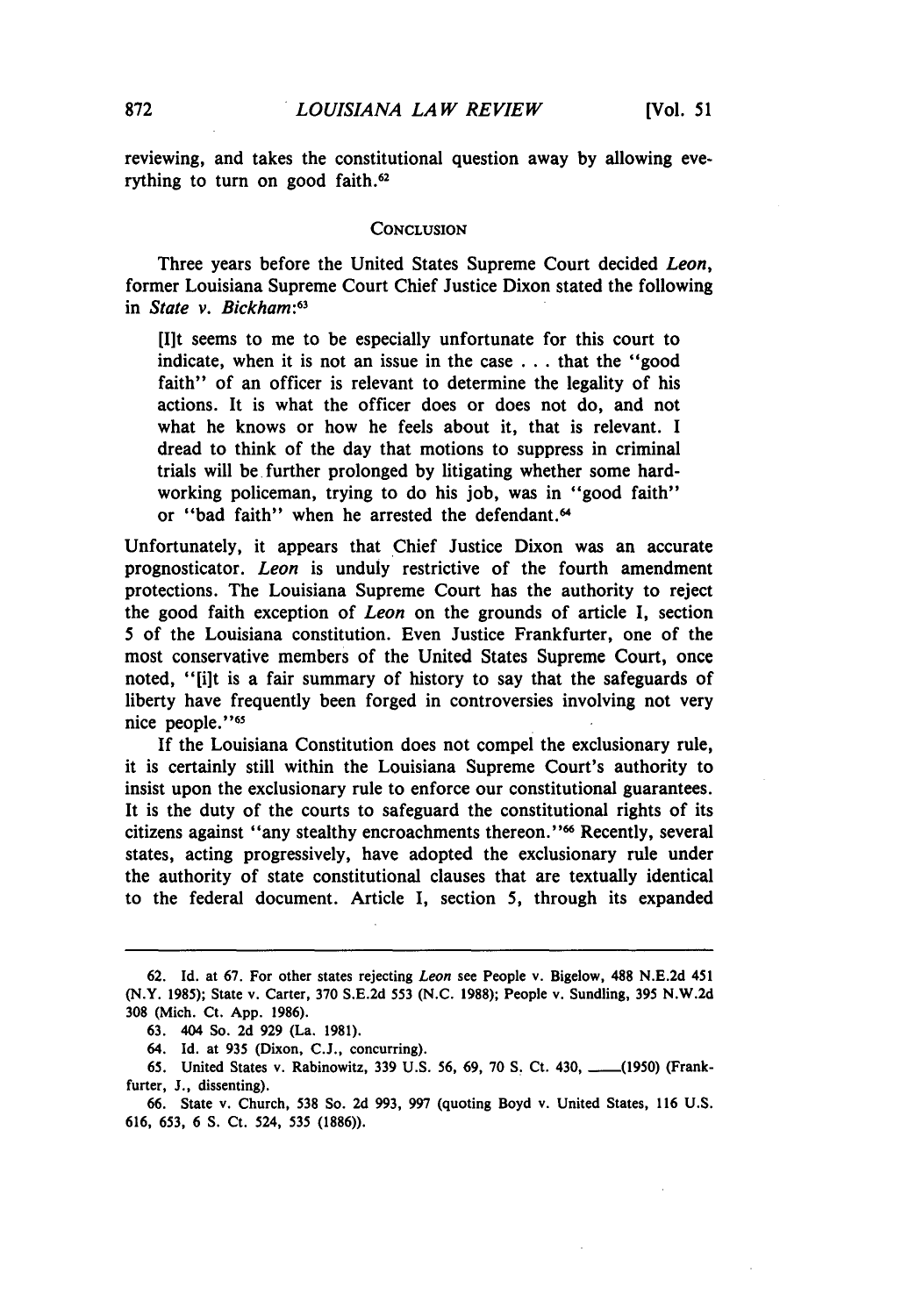reviewing, and takes the constitutional question away **by** allowing everything to turn on good faith.<sup>62</sup>

#### **CONCLUSION**

Three years before the United States Supreme Court decided *Leon,* former Louisiana Supreme Court Chief Justice Dixon stated the following in *State v. Bickham*:<sup>63</sup>

[I]t seems to me to be especially unfortunate for this court to indicate, when it is not an issue in the case . .. that the "good faith" of an officer is relevant to determine the legality of his actions. It is what the officer does or does not do, and not what he knows or how he feels about it, that is relevant. I dread to think of the day that motions to suppress in criminal trials will be further prolonged by litigating whether some hardworking policeman, trying to do his job, was in "good faith" or "bad faith" when he arrested the defendant.<sup>64</sup>

Unfortunately, it appears that Chief Justice Dixon was an accurate prognosticator. *Leon* is unduly restrictive of the fourth amendment protections. The Louisiana Supreme Court has the authority to reject the good faith exception of *Leon* on the grounds of article I, section 5 of the Louisiana constitution. Even Justice Frankfurter, one of the most conservative members of the United States Supreme Court, once noted, "[ilt is a fair summary of history to say that the safeguards of liberty have frequently been forged in controversies involving not very nice people."<sup>65</sup>

If the Louisiana Constitution does not compel the exclusionary rule, it is certainly still within the Louisiana Supreme Court's authority to insist upon the exclusionary rule to enforce our constitutional guarantees. It is the duty of the courts to safeguard the constitutional rights of its citizens against "any stealthy encroachments thereon. **"66** Recently, several states, acting progressively, have adopted the exclusionary rule under the authority of state constitutional clauses that are textually identical to the federal document. Article I, section 5, through its expanded

<sup>62.</sup> **Id.** at 67. For other states rejecting Leon see People v. Bigelow, **488** N.E.2d 451 (N.Y. 1985); State v. Carter, 370 S.E.2d 553 (N.C. 1988); People v. Sundling, 395 N.W.2d **308** (Mich. Ct. App. 1986).

**<sup>63.</sup>** 404 So. 2d 929 (La. 1981).

<sup>64.</sup> Id. at 935 (Dixon, **C.J.,** concurring).

<sup>65.</sup> United States v. Rabinowitz, 339 U.S. 56, 69, 70 S. Ct. 430, \_\_\_(1950) (Frankfurter, **J.,** dissenting).

<sup>66.</sup> State v. Church, **538** So. 2d 993, 997 (quoting Boyd v. United States, 116 **U.S. 616,** 653, **6 S.** Ct. 524, 535 (1886)).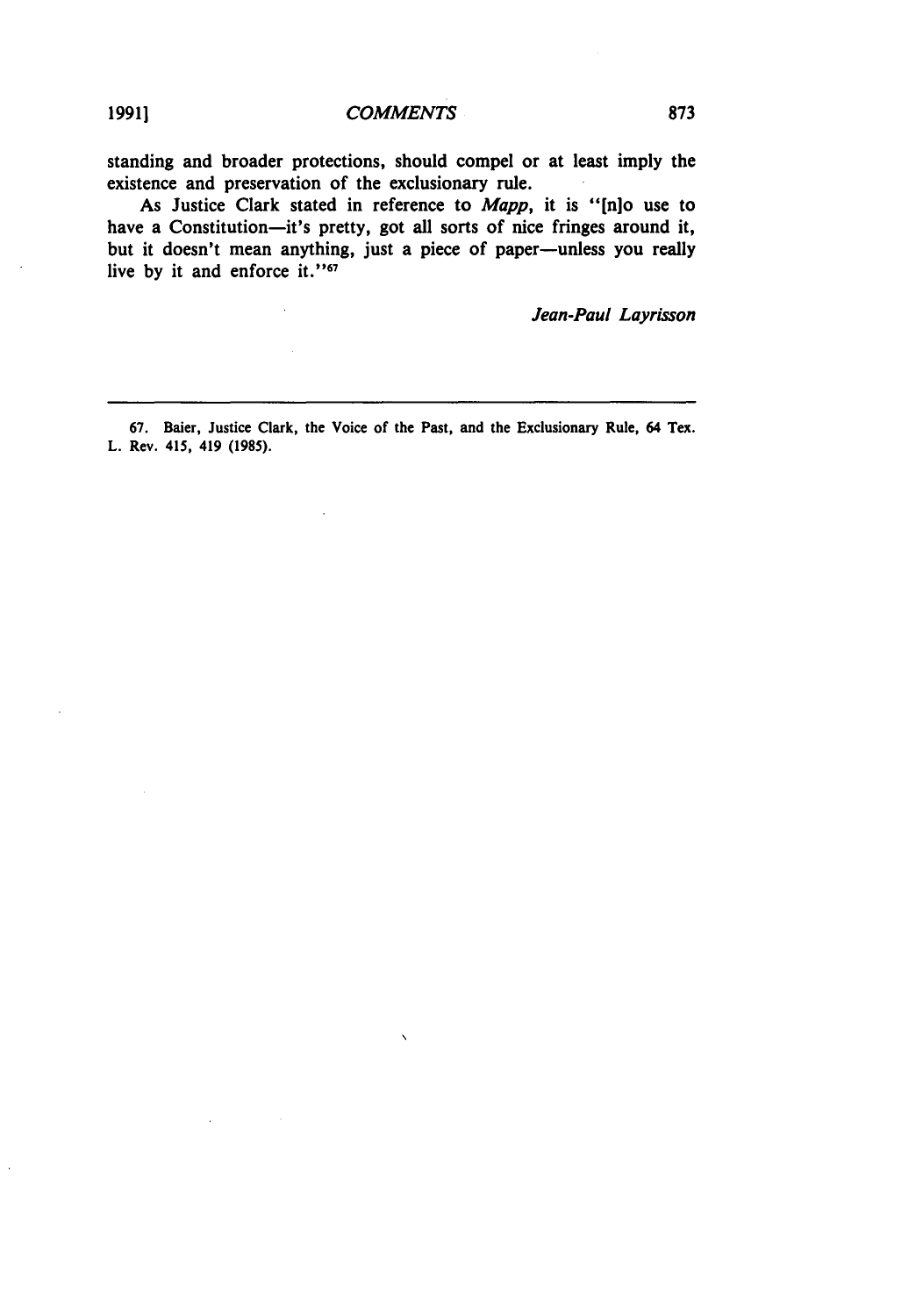standing and broader protections, should compel or at least imply the existence and preservation of the exclusionary rule.

As Justice Clark stated in reference to *Mapp,* it is **"[n]o** use to have a Constitution-it's pretty, got all sorts of nice fringes around it, but it doesn't mean anything, just a piece of paper-unless you really live by it and enforce it."<sup>67</sup>

Jean-Paul Layrisson

**67.** Baier, Justice Clark, the Voice of the Past, and the Exclusionary Rule, 64 Tex. L. Rev. 415, 419 **(1985).**

 $\ddot{\phantom{0}}$